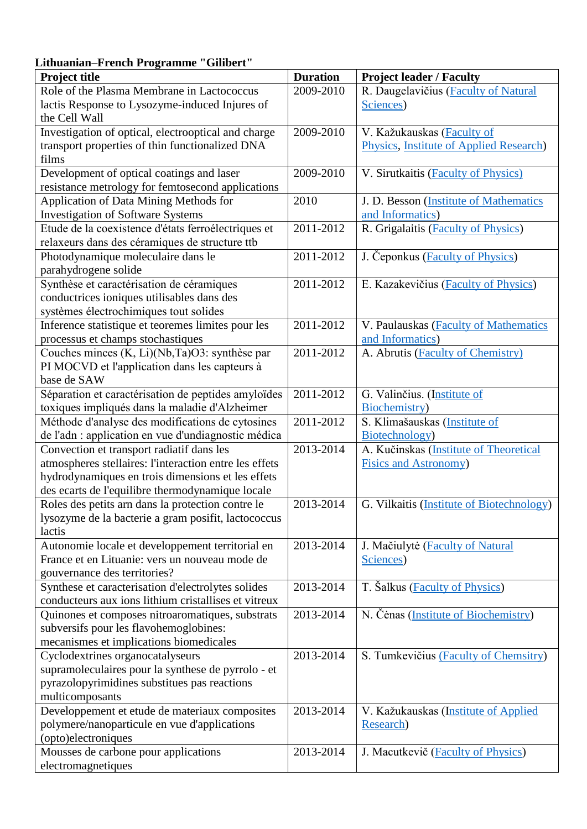## **Lithuanian–French Programme "Gilibert"**

| <b>Project title</b>                                                                                       | <b>Duration</b> | <b>Project leader / Faculty</b>                       |
|------------------------------------------------------------------------------------------------------------|-----------------|-------------------------------------------------------|
| Role of the Plasma Membrane in Lactococcus                                                                 | 2009-2010       | R. Daugelavičius (Faculty of Natural                  |
| lactis Response to Lysozyme-induced Injures of                                                             |                 | Sciences)                                             |
| the Cell Wall                                                                                              |                 |                                                       |
| Investigation of optical, electrooptical and charge                                                        | 2009-2010       | V. Kažukauskas (Faculty of                            |
| transport properties of thin functionalized DNA                                                            |                 | Physics, Institute of Applied Research)               |
| films                                                                                                      |                 |                                                       |
| Development of optical coatings and laser                                                                  | 2009-2010       | V. Sirutkaitis (Faculty of Physics)                   |
| resistance metrology for femtosecond applications                                                          |                 |                                                       |
| Application of Data Mining Methods for                                                                     | 2010            | J. D. Besson (Institute of Mathematics                |
| <b>Investigation of Software Systems</b>                                                                   |                 | and Informatics)                                      |
| Etude de la coexistence d'états ferroélectriques et                                                        | 2011-2012       | R. Grigalaitis (Faculty of Physics)                   |
| relaxeurs dans des céramiques de structure ttb                                                             |                 |                                                       |
| Photodynamique moleculaire dans le                                                                         | 2011-2012       | J. Čeponkus (Faculty of Physics)                      |
| parahydrogene solide                                                                                       |                 |                                                       |
| Synthèse et caractérisation de céramiques                                                                  | 2011-2012       | E. Kazakevičius ( <b>Faculty of Physics</b> )         |
| conductrices ioniques utilisables dans des                                                                 |                 |                                                       |
| systèmes électrochimiques tout solides                                                                     |                 |                                                       |
| Inference statistique et teoremes limites pour les                                                         | 2011-2012       | V. Paulauskas ( <b>Faculty of Mathematics</b>         |
| processus et champs stochastiques                                                                          |                 | and Informatics)                                      |
| Couches minces (K, Li)(Nb,Ta)O3: synthèse par                                                              | 2011-2012       | A. Abrutis (Faculty of Chemistry)                     |
| PI MOCVD et l'application dans les capteurs à                                                              |                 |                                                       |
| base de SAW                                                                                                |                 |                                                       |
| Séparation et caractérisation de peptides amyloïdes                                                        | 2011-2012       | G. Valinčius. (Institute of                           |
| toxiques impliqués dans la maladie d'Alzheimer                                                             |                 | Biochemistry)                                         |
| Méthode d'analyse des modifications de cytosines                                                           | 2011-2012       | S. Klimašauskas (Institute of                         |
| de l'adn : application en vue d'undiagnostic médica                                                        |                 | Biotechnology)                                        |
| Convection et transport radiatif dans les                                                                  | 2013-2014       | A. Kučinskas (Institute of Theoretical                |
| atmospheres stellaires: l'interaction entre les effets                                                     |                 | <b>Fisics and Astronomy)</b>                          |
| hydrodynamiques en trois dimensions et les effets                                                          |                 |                                                       |
| des ecarts de l'equilibre thermodynamique locale                                                           |                 |                                                       |
| Roles des petits arn dans la protection contre le                                                          | 2013-2014       | G. Vilkaitis (Institute of Biotechnology)             |
| lysozyme de la bacterie a gram posifit, lactococcus                                                        |                 |                                                       |
| lactis                                                                                                     |                 |                                                       |
| Autonomie locale et developpement territorial en                                                           | 2013-2014       |                                                       |
| France et en Lituanie: vers un nouveau mode de                                                             |                 | J. Mačiulytė ( <b>Faculty of Natural</b><br>Sciences) |
|                                                                                                            |                 |                                                       |
| gouvernance des territories?                                                                               | 2013-2014       | T. Šalkus (Faculty of Physics)                        |
| Synthese et caracterisation d'electrolytes solides<br>conducteurs aux ions lithium cristallises et vitreux |                 |                                                       |
| Quinones et composes nitroaromatiques, substrats                                                           | 2013-2014       |                                                       |
| subversifs pour les flavohemoglobines:                                                                     |                 | N. Čenas ( <i>Institute of Biochemistry</i> )         |
| mecanismes et implications biomedicales                                                                    |                 |                                                       |
|                                                                                                            | 2013-2014       |                                                       |
| Cyclodextrines organocatalyseurs                                                                           |                 | S. Tumkevičius (Faculty of Chemsitry)                 |
| supramoleculaires pour la synthese de pyrrolo - et                                                         |                 |                                                       |
| pyrazolopyrimidines substitues pas reactions                                                               |                 |                                                       |
| multicomposants                                                                                            |                 |                                                       |
| Developpement et etude de materiaux composites                                                             | 2013-2014       | V. Kažukauskas (Institute of Applied                  |
| polymere/nanoparticule en vue d'applications                                                               |                 | Research)                                             |
| (opto)electroniques                                                                                        |                 |                                                       |
| Mousses de carbone pour applications                                                                       | 2013-2014       | J. Macutkevič (Faculty of Physics)                    |
| electromagnetiques                                                                                         |                 |                                                       |